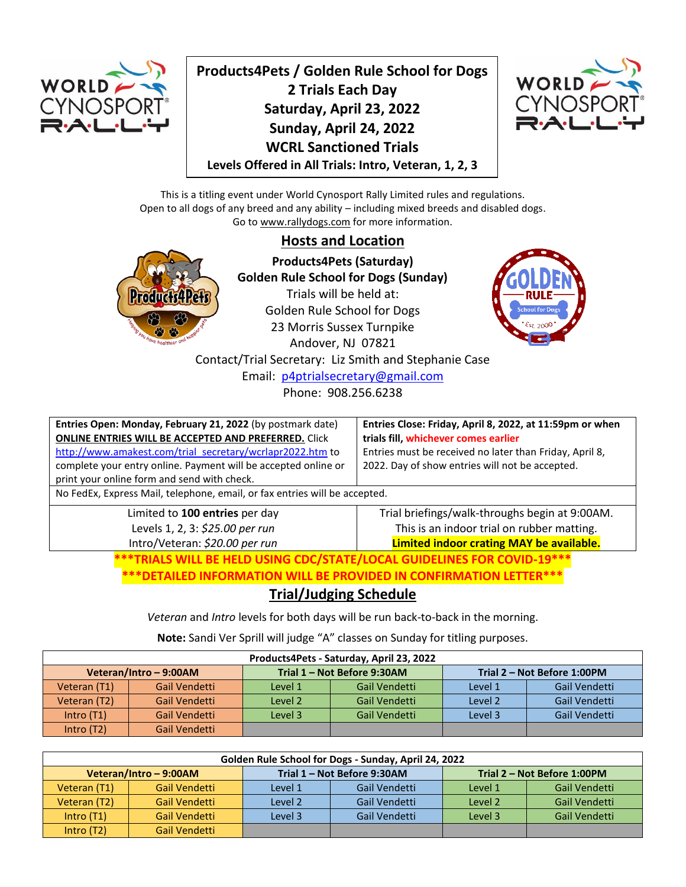

**Products4Pets / Golden Rule School for Dogs 2 Trials Each Day Saturday, April 23, 2022 Sunday, April 24, 2022 WCRL Sanctioned Trials Levels Offered in All Trials: Intro, Veteran, 1, 2, 3**



This is a titling event under World Cynosport Rally Limited rules and regulations. Open to all dogs of any breed and any ability – including mixed breeds and disabled dogs. Go to www.rallydogs.com for more information.

# **Hosts and Location**



**Products4Pets (Saturday) Golden Rule School for Dogs (Sunday)** Trials will be held at: Golden Rule School for Dogs 23 Morris Sussex Turnpike Andover, NJ 07821 Contact/Trial Secretary: Liz Smith and Stephanie Case Email: [p4ptrialsecretary@gmail.com](mailto:p4ptrialsecretary@gmail.com) Phone: 908.256.6238



**Entries Open: Monday, February 21, 2022** (by postmark date) **ONLINE ENTRIES WILL BE ACCEPTED AND PREFERRED.** Click [http://www.amakest.com/trial\\_secretary/wcrlapr2022.htm](http://www.amakest.com/trial_secretary/wcrlapr2022.htm) to complete your entry online. Payment will be accepted online or print your online form and send with check.

**Entries Close: Friday, April 8, 2022, at 11:59pm or when trials fill, whichever comes earlier** Entries must be received no later than Friday, April 8, 2022. Day of show entries will not be accepted.

No FedEx, Express Mail, telephone, email, or fax entries will be accepted.

Limited to **100 entries** per day Levels 1, 2, 3: *\$25.00 per run* Intro/Veteran: *\$20.00 per run*

Trial briefings/walk-throughs begin at 9:00AM. This is an indoor trial on rubber matting. **Limited indoor crating MAY be available.**

**\*\*\*TRIALS WILL BE HELD USING CDC/STATE/LOCAL GUIDELINES FOR COVID-19\*\*\***

**\*\*\*DETAILED INFORMATION WILL BE PROVIDED IN CONFIRMATION LETTER\*\*\***

# **Trial/Judging Schedule**

*Veteran* and *Intro* levels for both days will be run back-to-back in the morning.

**Note:** Sandi Ver Sprill will judge "A" classes on Sunday for titling purposes.

| Products4Pets - Saturday, April 23, 2022                                           |               |                          |               |         |               |  |
|------------------------------------------------------------------------------------|---------------|--------------------------|---------------|---------|---------------|--|
| Trial 1 - Not Before 9:30AM<br>Trial 2 - Not Before 1:00PM<br>Veteran/Intro-9:00AM |               |                          |               |         |               |  |
| Veteran (T1)                                                                       | Gail Vendetti | Gail Vendetti<br>Level 1 |               | Level 1 | Gail Vendetti |  |
| Veteran (T2)                                                                       | Gail Vendetti | Level 2                  | Gail Vendetti | Level 2 | Gail Vendetti |  |
| Intro $(T1)$                                                                       | Gail Vendetti | Level 3                  | Gail Vendetti | Level 3 | Gail Vendetti |  |
| Intro $(T2)$                                                                       | Gail Vendetti |                          |               |         |               |  |

| Golden Rule School for Dogs - Sunday, April 24, 2022 |               |         |               |         |                             |  |
|------------------------------------------------------|---------------|---------|---------------|---------|-----------------------------|--|
| Trial 1 - Not Before 9:30AM<br>Veteran/Intro-9:00AM  |               |         |               |         | Trial 2 - Not Before 1:00PM |  |
| Veteran (T1)                                         | Gail Vendetti | Level 1 | Gail Vendetti | Level 1 | Gail Vendetti               |  |
| Veteran (T2)                                         | Gail Vendetti | Level 2 | Gail Vendetti | Level 2 | Gail Vendetti               |  |
| Intro $(T1)$                                         | Gail Vendetti | Level 3 | Gail Vendetti | Level 3 | Gail Vendetti               |  |
| Intro $(T2)$                                         | Gail Vendetti |         |               |         |                             |  |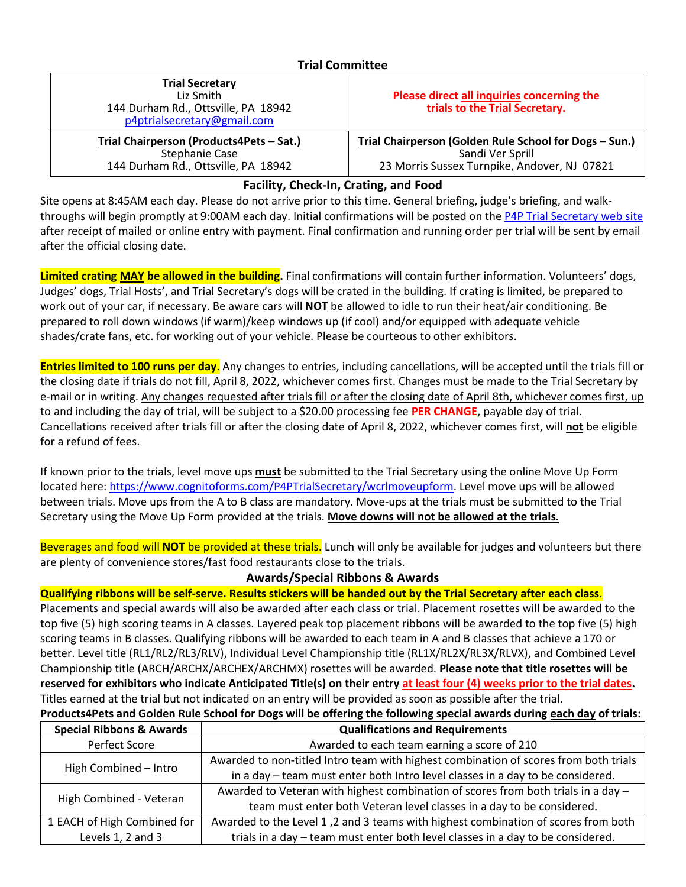#### **Trial Committee**

| <b>Trial Secretary</b><br>Liz Smith<br>144 Durham Rd., Ottsville, PA 18942<br>p4ptrialsecretary@gmail.com | Please direct all inquiries concerning the<br>trials to the Trial Secretary.                                               |  |  |
|-----------------------------------------------------------------------------------------------------------|----------------------------------------------------------------------------------------------------------------------------|--|--|
| Trial Chairperson (Products4Pets - Sat.)<br>Stephanie Case<br>144 Durham Rd., Ottsville, PA 18942         | Trial Chairperson (Golden Rule School for Dogs - Sun.)<br>Sandi Ver Sprill<br>23 Morris Sussex Turnpike, Andover, NJ 07821 |  |  |
|                                                                                                           |                                                                                                                            |  |  |

## **Facility, Check-In, Crating, and Food**

Site opens at 8:45AM each day. Please do not arrive prior to this time. General briefing, judge's briefing, and walk-throughs will begin promptly at 9:00AM each day. Initial confirmations will be posted on the [P4P Trial Secretary web site](http://www.amakest.com/trial_secretary/index.htm) after receipt of mailed or online entry with payment. Final confirmation and running order per trial will be sent by email after the official closing date.

**Limited crating MAY be allowed in the building.** Final confirmations will contain further information. Volunteers' dogs, Judges' dogs, Trial Hosts', and Trial Secretary's dogs will be crated in the building. If crating is limited, be prepared to work out of your car, if necessary. Be aware cars will **NOT** be allowed to idle to run their heat/air conditioning. Be prepared to roll down windows (if warm)/keep windows up (if cool) and/or equipped with adequate vehicle shades/crate fans, etc. for working out of your vehicle. Please be courteous to other exhibitors.

**Entries limited to 100 runs per day**. Any changes to entries, including cancellations, will be accepted until the trials fill or the closing date if trials do not fill, April 8, 2022, whichever comes first. Changes must be made to the Trial Secretary by e-mail or in writing. Any changes requested after trials fill or after the closing date of April 8th, whichever comes first, up to and including the day of trial, will be subject to a \$20.00 processing fee **PER CHANGE**, payable day of trial. Cancellations received after trials fill or after the closing date of April 8, 2022, whichever comes first, will **not** be eligible for a refund of fees.

If known prior to the trials, level move ups **must** be submitted to the Trial Secretary using the online Move Up Form located here[: https://www.cognitoforms.com/P4PTrialSecretary/wcrlmoveupform.](https://www.cognitoforms.com/P4PTrialSecretary/wcrlmoveupform) Level move ups will be allowed between trials. Move ups from the A to B class are mandatory. Move-ups at the trials must be submitted to the Trial Secretary using the Move Up Form provided at the trials. **Move downs will not be allowed at the trials.**

Beverages and food will **NOT** be provided at these trials. Lunch will only be available for judges and volunteers but there are plenty of convenience stores/fast food restaurants close to the trials.

### **Awards/Special Ribbons & Awards**

**Qualifying ribbons will be self-serve. Results stickers will be handed out by the Trial Secretary after each class**.

Placements and special awards will also be awarded after each class or trial. Placement rosettes will be awarded to the top five (5) high scoring teams in A classes. Layered peak top placement ribbons will be awarded to the top five (5) high scoring teams in B classes. Qualifying ribbons will be awarded to each team in A and B classes that achieve a 170 or better. Level title (RL1/RL2/RL3/RLV), Individual Level Championship title (RL1X/RL2X/RL3X/RLVX), and Combined Level Championship title (ARCH/ARCHX/ARCHEX/ARCHMX) rosettes will be awarded. **Please note that title rosettes will be reserved for exhibitors who indicate Anticipated Title(s) on their entry at least four (4) weeks prior to the trial dates.** Titles earned at the trial but not indicated on an entry will be provided as soon as possible after the trial. **Products4Pets and Golden Rule School for Dogs will be offering the following special awards during each day of trials:**

| <b>Special Ribbons &amp; Awards</b> | <b>Qualifications and Requirements</b>                                               |  |  |  |  |
|-------------------------------------|--------------------------------------------------------------------------------------|--|--|--|--|
| Perfect Score                       | Awarded to each team earning a score of 210                                          |  |  |  |  |
| High Combined - Intro               | Awarded to non-titled Intro team with highest combination of scores from both trials |  |  |  |  |
|                                     | in a day - team must enter both Intro level classes in a day to be considered.       |  |  |  |  |
| High Combined - Veteran             | Awarded to Veteran with highest combination of scores from both trials in a day -    |  |  |  |  |
|                                     | team must enter both Veteran level classes in a day to be considered.                |  |  |  |  |
| 1 EACH of High Combined for         | Awarded to the Level 1,2 and 3 teams with highest combination of scores from both    |  |  |  |  |
| Levels 1, 2 and 3                   | trials in a day - team must enter both level classes in a day to be considered.      |  |  |  |  |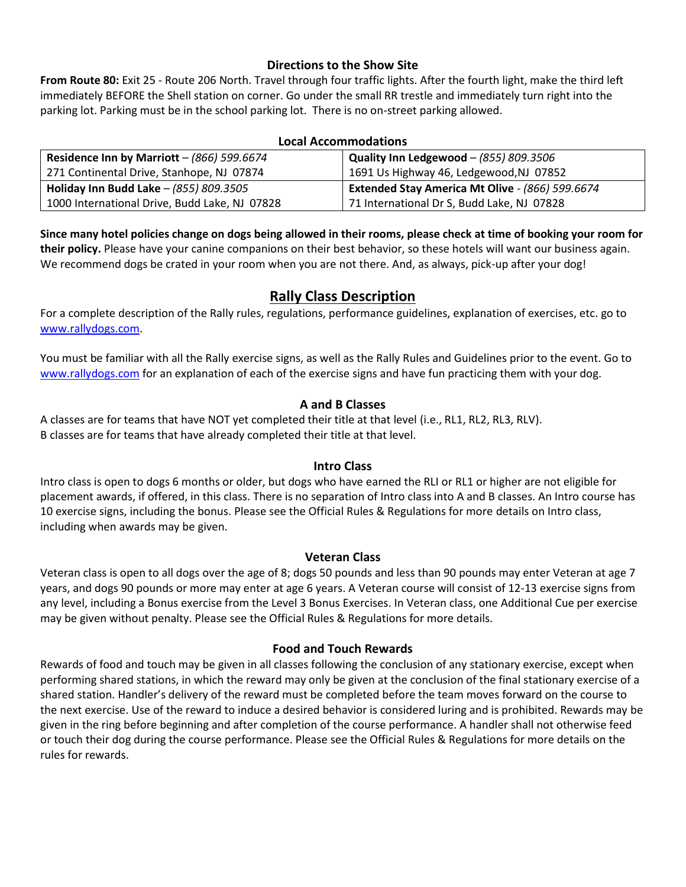#### **Directions to the Show Site**

**From Route 80:** Exit 25 - Route 206 North. Travel through four traffic lights. After the fourth light, make the third left immediately BEFORE the Shell station on corner. Go under the small RR trestle and immediately turn right into the parking lot. Parking must be in the school parking lot. There is no on-street parking allowed.

#### **Local Accommodations**

| Residence Inn by Marriott - $(866)$ 599.6674  | Quality Inn Ledgewood $-$ (855) 809.3506        |  |  |
|-----------------------------------------------|-------------------------------------------------|--|--|
| 271 Continental Drive, Stanhope, NJ 07874     | 1691 Us Highway 46, Ledgewood, NJ 07852         |  |  |
| Holiday Inn Budd Lake - (855) 809.3505        | Extended Stay America Mt Olive - (866) 599.6674 |  |  |
| 1000 International Drive, Budd Lake, NJ 07828 | 71 International Dr S, Budd Lake, NJ 07828      |  |  |

**Since many hotel policies change on dogs being allowed in their rooms, please check at time of booking your room for their policy.** Please have your canine companions on their best behavior, so these hotels will want our business again. We recommend dogs be crated in your room when you are not there. And, as always, pick-up after your dog!

# **Rally Class Description**

For a complete description of the Rally rules, regulations, performance guidelines, explanation of exercises, etc. go to [www.rallydogs.com.](http://www.rallydogs.com/)

You must be familiar with all the Rally exercise signs, as well as the Rally Rules and Guidelines prior to the event. Go to [www.rallydogs.com](http://www.rallydogs.com/) for an explanation of each of the exercise signs and have fun practicing them with your dog.

## **A and B Classes**

A classes are for teams that have NOT yet completed their title at that level (i.e., RL1, RL2, RL3, RLV). B classes are for teams that have already completed their title at that level.

### **Intro Class**

Intro class is open to dogs 6 months or older, but dogs who have earned the RLI or RL1 or higher are not eligible for placement awards, if offered, in this class. There is no separation of Intro class into A and B classes. An Intro course has 10 exercise signs, including the bonus. Please see the Official Rules & Regulations for more details on Intro class, including when awards may be given.

### **Veteran Class**

Veteran class is open to all dogs over the age of 8; dogs 50 pounds and less than 90 pounds may enter Veteran at age 7 years, and dogs 90 pounds or more may enter at age 6 years. A Veteran course will consist of 12-13 exercise signs from any level, including a Bonus exercise from the Level 3 Bonus Exercises. In Veteran class, one Additional Cue per exercise may be given without penalty. Please see the Official Rules & Regulations for more details.

### **Food and Touch Rewards**

Rewards of food and touch may be given in all classes following the conclusion of any stationary exercise, except when performing shared stations, in which the reward may only be given at the conclusion of the final stationary exercise of a shared station. Handler's delivery of the reward must be completed before the team moves forward on the course to the next exercise. Use of the reward to induce a desired behavior is considered luring and is prohibited. Rewards may be given in the ring before beginning and after completion of the course performance. A handler shall not otherwise feed or touch their dog during the course performance. Please see the Official Rules & Regulations for more details on the rules for rewards.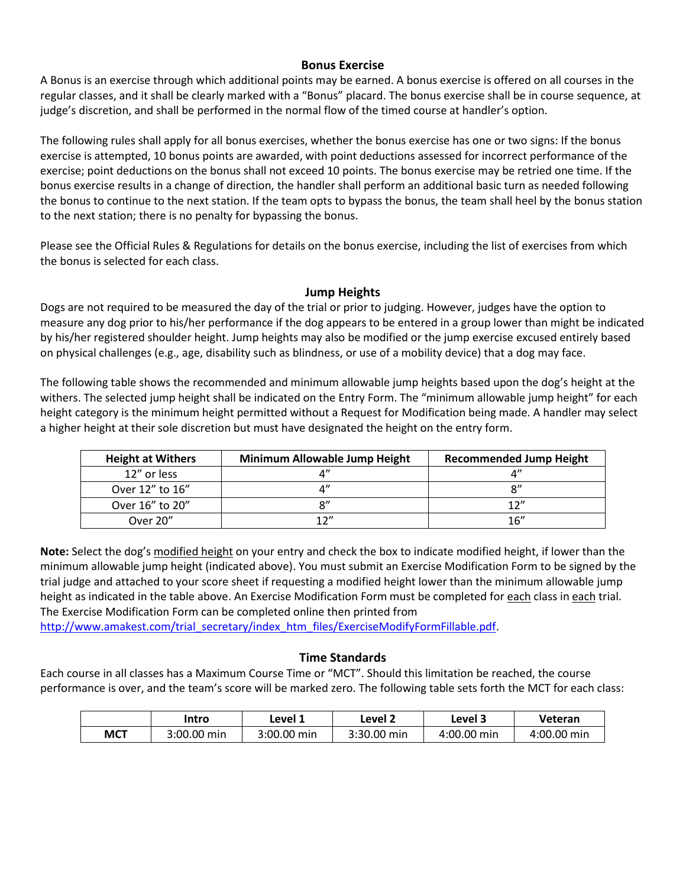#### **Bonus Exercise**

A Bonus is an exercise through which additional points may be earned. A bonus exercise is offered on all courses in the regular classes, and it shall be clearly marked with a "Bonus" placard. The bonus exercise shall be in course sequence, at judge's discretion, and shall be performed in the normal flow of the timed course at handler's option.

The following rules shall apply for all bonus exercises, whether the bonus exercise has one or two signs: If the bonus exercise is attempted, 10 bonus points are awarded, with point deductions assessed for incorrect performance of the exercise; point deductions on the bonus shall not exceed 10 points. The bonus exercise may be retried one time. If the bonus exercise results in a change of direction, the handler shall perform an additional basic turn as needed following the bonus to continue to the next station. If the team opts to bypass the bonus, the team shall heel by the bonus station to the next station; there is no penalty for bypassing the bonus.

Please see the Official Rules & Regulations for details on the bonus exercise, including the list of exercises from which the bonus is selected for each class.

#### **Jump Heights**

Dogs are not required to be measured the day of the trial or prior to judging. However, judges have the option to measure any dog prior to his/her performance if the dog appears to be entered in a group lower than might be indicated by his/her registered shoulder height. Jump heights may also be modified or the jump exercise excused entirely based on physical challenges (e.g., age, disability such as blindness, or use of a mobility device) that a dog may face.

The following table shows the recommended and minimum allowable jump heights based upon the dog's height at the withers. The selected jump height shall be indicated on the Entry Form. The "minimum allowable jump height" for each height category is the minimum height permitted without a Request for Modification being made. A handler may select a higher height at their sole discretion but must have designated the height on the entry form.

| <b>Height at Withers</b> | Minimum Allowable Jump Height | <b>Recommended Jump Height</b> |
|--------------------------|-------------------------------|--------------------------------|
| 12" or less              |                               |                                |
| Over 12" to 16"          |                               | о"                             |
| Over 16" to 20"          |                               | 12 $^{\prime\prime}$           |
| Over 20"                 | 1 $\gamma$ "                  | 16''                           |

**Note:** Select the dog's modified height on your entry and check the box to indicate modified height, if lower than the minimum allowable jump height (indicated above). You must submit an Exercise Modification Form to be signed by the trial judge and attached to your score sheet if requesting a modified height lower than the minimum allowable jump height as indicated in the table above. An Exercise Modification Form must be completed for each class in each trial. The Exercise Modification Form can be completed online then printed from

[http://www.amakest.com/trial\\_secretary/index\\_htm\\_files/ExerciseModifyFormFillable.pdf.](http://www.amakest.com/trial_secretary/index_htm_files/ExerciseModifyFormFillable.pdf)

#### **Time Standards**

Each course in all classes has a Maximum Course Time or "MCT". Should this limitation be reached, the course performance is over, and the team's score will be marked zero. The following table sets forth the MCT for each class:

|            | Intro       |             | Level 2        | Level 3     | Veteran     |  |
|------------|-------------|-------------|----------------|-------------|-------------|--|
| <b>MCT</b> | 3:00.00 min | 3:00.00 min | 3:30.00<br>min | 4:00.00 min | 4:00.00 min |  |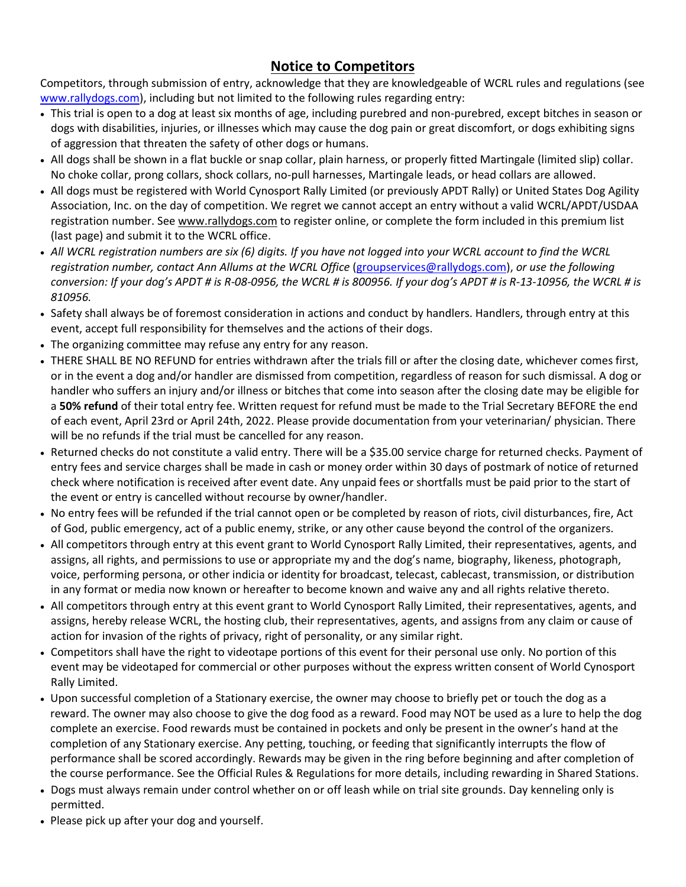# **Notice to Competitors**

Competitors, through submission of entry, acknowledge that they are knowledgeable of WCRL rules and regulations (see [www.rallydogs.com\)](http://www.rallydogs.com/), including but not limited to the following rules regarding entry:

- This trial is open to a dog at least six months of age, including purebred and non-purebred, except bitches in season or dogs with disabilities, injuries, or illnesses which may cause the dog pain or great discomfort, or dogs exhibiting signs of aggression that threaten the safety of other dogs or humans.
- All dogs shall be shown in a flat buckle or snap collar, plain harness, or properly fitted Martingale (limited slip) collar. No choke collar, prong collars, shock collars, no-pull harnesses, Martingale leads, or head collars are allowed.
- All dogs must be registered with World Cynosport Rally Limited (or previously APDT Rally) or United States Dog Agility Association, Inc. on the day of competition. We regret we cannot accept an entry without a valid WCRL/APDT/USDAA registration number. See [www.rallydogs.com](http://www.rallydogs.com/) to register online, or complete the form included in this premium list (last page) and submit it to the WCRL office.
- *All WCRL registration numbers are six (6) digits. If you have not logged into your WCRL account to find the WCRL registration number, contact Ann Allums at the WCRL Office* [\(groupservices@rallydogs.com\)](mailto:groupservices@rallydogs.com), *or use the following conversion: If your dog's APDT # is R-08-0956, the WCRL # is 800956. If your dog's APDT # is R-13-10956, the WCRL # is 810956.*
- Safety shall always be of foremost consideration in actions and conduct by handlers. Handlers, through entry at this event, accept full responsibility for themselves and the actions of their dogs.
- The organizing committee may refuse any entry for any reason.
- THERE SHALL BE NO REFUND for entries withdrawn after the trials fill or after the closing date, whichever comes first, or in the event a dog and/or handler are dismissed from competition, regardless of reason for such dismissal. A dog or handler who suffers an injury and/or illness or bitches that come into season after the closing date may be eligible for a **50% refund** of their total entry fee. Written request for refund must be made to the Trial Secretary BEFORE the end of each event, April 23rd or April 24th, 2022. Please provide documentation from your veterinarian/ physician. There will be no refunds if the trial must be cancelled for any reason.
- Returned checks do not constitute a valid entry. There will be a \$35.00 service charge for returned checks. Payment of entry fees and service charges shall be made in cash or money order within 30 days of postmark of notice of returned check where notification is received after event date. Any unpaid fees or shortfalls must be paid prior to the start of the event or entry is cancelled without recourse by owner/handler.
- No entry fees will be refunded if the trial cannot open or be completed by reason of riots, civil disturbances, fire, Act of God, public emergency, act of a public enemy, strike, or any other cause beyond the control of the organizers.
- All competitors through entry at this event grant to World Cynosport Rally Limited, their representatives, agents, and assigns, all rights, and permissions to use or appropriate my and the dog's name, biography, likeness, photograph, voice, performing persona, or other indicia or identity for broadcast, telecast, cablecast, transmission, or distribution in any format or media now known or hereafter to become known and waive any and all rights relative thereto.
- All competitors through entry at this event grant to World Cynosport Rally Limited, their representatives, agents, and assigns, hereby release WCRL, the hosting club, their representatives, agents, and assigns from any claim or cause of action for invasion of the rights of privacy, right of personality, or any similar right.
- Competitors shall have the right to videotape portions of this event for their personal use only. No portion of this event may be videotaped for commercial or other purposes without the express written consent of World Cynosport Rally Limited.
- Upon successful completion of a Stationary exercise, the owner may choose to briefly pet or touch the dog as a reward. The owner may also choose to give the dog food as a reward. Food may NOT be used as a lure to help the dog complete an exercise. Food rewards must be contained in pockets and only be present in the owner's hand at the completion of any Stationary exercise. Any petting, touching, or feeding that significantly interrupts the flow of performance shall be scored accordingly. Rewards may be given in the ring before beginning and after completion of the course performance. See the Official Rules & Regulations for more details, including rewarding in Shared Stations.
- Dogs must always remain under control whether on or off leash while on trial site grounds. Day kenneling only is permitted.
- Please pick up after your dog and yourself.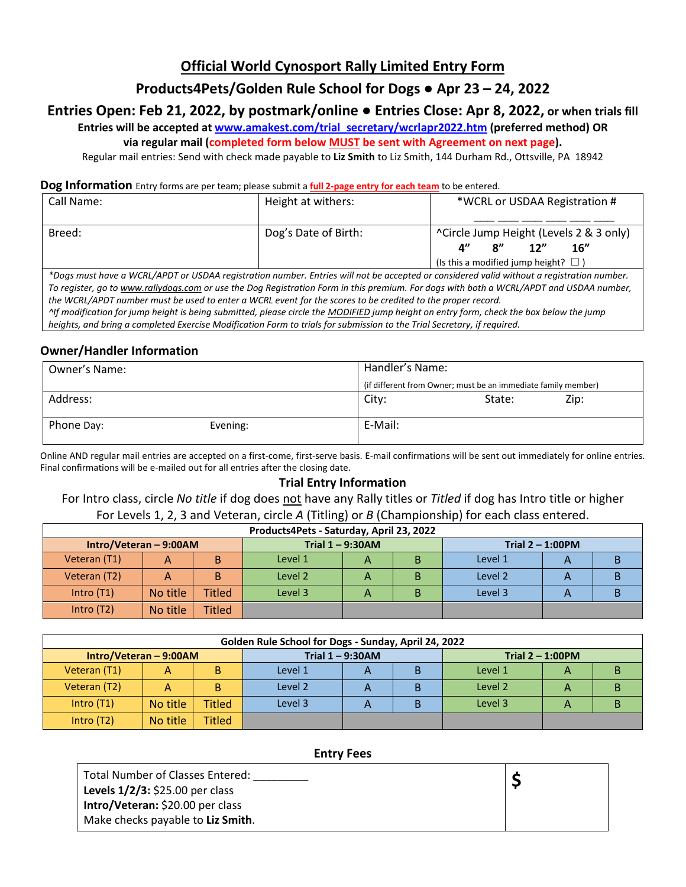# **Official World Cynosport Rally Limited Entry Form**

# **Products4Pets/Golden Rule School for Dogs ● Apr 23 – 24, 2022**

# **Entries Open: Feb 21, 2022, by postmark/online ● Entries Close: Apr 8, 2022, or when trials fill**

**Entries will be accepted at [www.amakest.com/trial\\_secretary/wcrlapr2022.htm](http://www.amakest.com/trial_secretary/wcrlapr2022.htm) (preferred method) OR** 

**via regular mail (completed form below MUST be sent with Agreement on next page).**

Regular mail entries: Send with check made payable to **Liz Smith** to Liz Smith, 144 Durham Rd., Ottsville, PA 18942

#### **Dog Information** Entry forms are per team; please submit a **full 2-page entry for each team** to be entered.

| Call Name: | Height at withers:   | *WCRL or USDAA Registration #                                                                                                                                       |  |  |  |
|------------|----------------------|---------------------------------------------------------------------------------------------------------------------------------------------------------------------|--|--|--|
|            |                      |                                                                                                                                                                     |  |  |  |
| Breed:     | Dog's Date of Birth: | ^Circle Jump Height (Levels 2 & 3 only)<br>12"<br>$\mathbf{R}^{\prime\prime}$<br>16"<br>$\mathbf{A}^{\prime\prime}$<br>(Is this a modified jump height? $\square$ ) |  |  |  |

*\*Dogs must have a WCRL/APDT or USDAA registration number. Entries will not be accepted or considered valid without a registration number. To register, go t[o www.rallydogs.com](http://www.rallydogs.com/) or use the Dog Registration Form in this premium. For dogs with both a WCRL/APDT and USDAA number, the WCRL/APDT number must be used to enter a WCRL event for the scores to be credited to the proper record. ^If modification for jump height is being submitted, please circle the MODIFIED jump height on entry form, check the box below the jump heights, and bring a completed Exercise Modification Form to trials for submission to the Trial Secretary, if required.*

## **Owner/Handler Information**

| Owner's Name: | Handler's Name: |                                                               |      |  |
|---------------|-----------------|---------------------------------------------------------------|------|--|
|               |                 | (if different from Owner; must be an immediate family member) |      |  |
| Address:      | City:           | State:                                                        | Zip: |  |
| Phone Day:    | Evening:        | E-Mail:                                                       |      |  |

Online AND regular mail entries are accepted on a first-come, first-serve basis. E-mail confirmations will be sent out immediately for online entries. Final confirmations will be e-mailed out for all entries after the closing date.

### **Trial Entry Information**

For Intro class, circle *No title* if dog does not have any Rally titles or *Titled* if dog has Intro title or higher For Levels 1, 2, 3 and Veteran, circle *A* (Titling) or *B* (Championship) for each class entered.

| Products4Pets - Saturday, April 23, 2022 |          |               |                     |   |  |                     |   |  |
|------------------------------------------|----------|---------------|---------------------|---|--|---------------------|---|--|
| $Intro/Veteran - 9:00AM$                 |          |               | Trial $1 - 9:30$ AM |   |  | Trial $2 - 1:00$ PM |   |  |
| Veteran (T1)                             | А        |               | Level 1             | A |  | Level 1             | Α |  |
| Veteran (T2)                             | А        |               | Level 2             | A |  | Level 2             | Α |  |
| Intro $(T1)$                             | No title | <b>Titled</b> | Level 3             | А |  | Level 3             | Α |  |
| Intro $(T2)$                             | No title | <b>Titled</b> |                     |   |  |                     |   |  |

| Golden Rule School for Dogs - Sunday, April 24, 2022                   |          |               |         |              |  |         |  |   |
|------------------------------------------------------------------------|----------|---------------|---------|--------------|--|---------|--|---|
| Trial $1 - 9:30$ AM<br>$Intro/Veteran - 9:00AM$<br>Trial $2 - 1:00$ PM |          |               |         |              |  |         |  |   |
| Veteran (T1)                                                           |          | в             | Level 1 |              |  | Level 1 |  | В |
| Veteran (T2)                                                           |          | в             | Level 2 | А            |  | Level 2 |  | B |
| Intro $(T1)$                                                           | No title | <b>Titled</b> | Level 3 | $\mathsf{A}$ |  | Level 3 |  | В |
| Intro $(T2)$                                                           | No title | <b>Titled</b> |         |              |  |         |  |   |

#### **Entry Fees**

| Total Number of Classes Entered:                    |  |
|-----------------------------------------------------|--|
| <b>Levels <math>1/2/3</math>:</b> \$25.00 per class |  |
| Intro/Veteran: \$20.00 per class                    |  |
| Make checks payable to Liz Smith.                   |  |